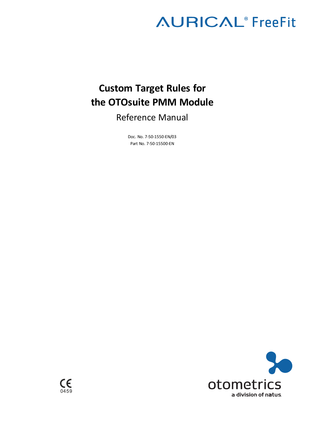# **AURICAL® FreeFit**

# **Custom Target Rules for the OTOsuite PMM Module**

# Reference Manual

Doc. No. 7-50-1550-EN/03 Part No. 7-50-15500-EN



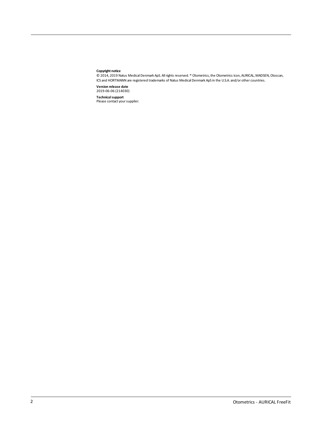#### **Copyright notice**

© 2014, 2019 Natus Medical Denmark ApS. Allrights reserved. ® Otometrics,the Otometrics Icon, AURICAL, MADSEN,Otoscan, ICS and HORTMANN are registered trademarks of Natus Medical Denmark ApS in the U.S.A. and/or other countries.

**Version release date** 2019-06-06 (214030)

**Technical support**<br>Please contact your supplier.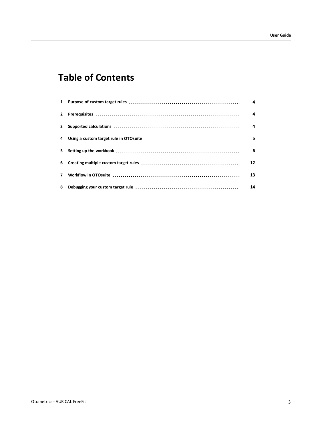# **Table of Contents**

|                | 4  |
|----------------|----|
| $\mathbf{2}$   | 4  |
| 3              | 4  |
|                | 5  |
| 5.             | 6  |
|                | 12 |
| $\overline{7}$ | 13 |
| 8              | 14 |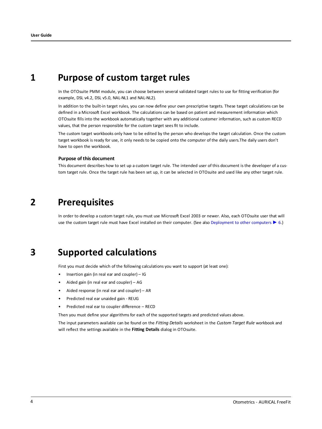# **1 Purpose of custom target rules**

<span id="page-3-0"></span>In the OTOsuite PMM module, you can choose between several validated target rules to use for fitting verification (for example, DSL v4.2, DSL v5.0, NAL-NL1 and NAL-NL2).

In addition to the built-in target rules, you can now define your own prescriptive targets. These target calculations can be defined in a Microsoft Excel workbook. The calculations can be based on patient and measurement information which OTOsuite fills into the workbook automatically together with any additional customer information, such as custom RECD values, that the person responsible for the custom target sees fit to include.

The custom target workbooks only have to be edited by the person who develops the target calculation. Once the custom target workbook is ready for use, it only needs to be copied onto the computer of the daily users.The daily users don't have to open the workbook.

#### **Purpose of this document**

<span id="page-3-1"></span>This document describes how to set up a custom target rule. The intended user of this document is the developer of a custom target rule. Once the target rule has been set up, it can be selected in OTOsuite and used like any other target rule.

## **2 Prerequisites**

<span id="page-3-2"></span>In order to develop a custom target rule, you must use Microsoft Excel 2003 or newer. Also, each OTOsuite user that will use the custom target rule must have Excel installed on their computer. (See also [Deployment](#page-5-1) to other computers ► 6.)

## **3 Supported calculations**

First you must decide which of the following calculations you want to support (at least one):

- Insertion gain (in real ear and coupler) IG
- Aided gain (in real ear and coupler) AG
- Aided response (in real ear and coupler) AR
- Predicted real ear unaided gain REUG
- Predicted real ear to coupler difference RECD

Then you must define your algorithms for each of the supported targets and predicted values above.

The input parameters available can be found on the *Fitting Details* worksheet in the *Custom Target Rule* workbook and will reflect the settings available in the **Fitting Details** dialog in OTOsuite.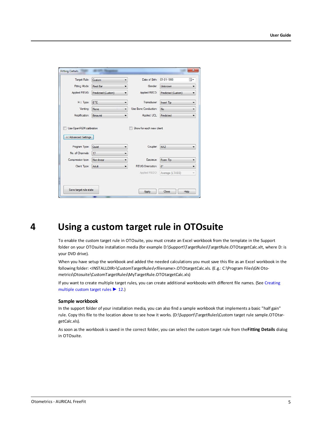| Target Rule:                                    | Custom             | Date of Birth:           | 01-01-1990<br>⊞▼   |
|-------------------------------------------------|--------------------|--------------------------|--------------------|
| Fitting Mode:                                   | <b>Real Ear</b>    | Gender:                  | Unknown            |
| Applied REUG:                                   | Predicted (Custom) | Applied RECD:            | Predicted (Custom) |
| H.I. Type:                                      | <b>BTF</b>         | Transducer:              | <b>Insert Tip</b>  |
| Venting:                                        | None               | Use Bone Conduction:     | <b>No</b>          |
| Amplification:                                  | Binaural           | Applied UCL:             | Predicted          |
| Use OpenREM calibration<br><< Advanced Settings |                    | Show for each new client |                    |
| Program Type:                                   | Quiet              | Coupler:                 | HA <sub>2</sub>    |
| No. of Channels:                                | 17                 |                          |                    |
| Compression type:                               | <b>Non-linear</b>  | Earpiece:                | Foam Tip           |
| Client Type:                                    | Adult              | <b>REUG Orientation:</b> | $0^{\circ}$        |
|                                                 |                    | Applied REDD:            | Average (LTASS)    |

# **4 Using a custom target rule in OTOsuite**

<span id="page-4-0"></span>To enable the custom target rule in OTOsuite, you must create an Excel workbook from the template in the Support folder on your OTOsuite installation media (for example D:\Support\TargetRules\TargetRule.OTOtargetCalc.xlt, where D: is your DVD drive).

When you have setup the workbook and added the needed calculations you must save this file as an Excel workbook in the following folder: <INSTALLDIR>\CustomTargetRules\<filename>.OTOtargetCalc.xls. (E.g.: C:\Program Files\GN Otometrics\Otosuite\CustomTargetRules\MyTargetRule.OTOtargetCalc.xls)

If you want to create multiple target rules, you can create additional workbooks with different file names. (See [Creating](#page-11-0) [multiple](#page-11-0) custom target rules ► 12.)

#### **Sample workbook**

In the support folder of your installation media, you can also find a sample workbook that implements a basic "half gain" rule. Copy this file to the location above to see how it works. (D:\Support\TargetRules\Custom target rule sample.OTOtargetCalc.xls).

As soon as the workbook is saved in the correct folder, you can select the custom target rule from the**Fitting Details** dialog in OTOsuite.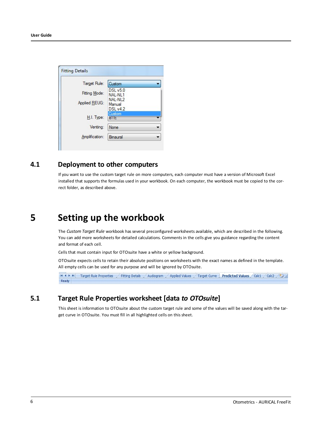| Target Rule:   | Custom                         |  |
|----------------|--------------------------------|--|
| Fitting Mode:  | DSL v5.0                       |  |
|                | NAL-NL1<br>NAL-NL <sub>2</sub> |  |
| Applied REUG:  | Manual                         |  |
|                | <b>DSL v4.2</b>                |  |
|                | Custom                         |  |
| H.I. Type:     | BTE                            |  |
| Venting:       | None                           |  |
| Amplification: | Binaural                       |  |

#### **4.1 Deployment to other computers**

<span id="page-5-1"></span><span id="page-5-0"></span>If you want to use the custom target rule on more computers, each computer must have a version of Microsoft Excel installed that supports the formulas used in your workbook. On each computer, the workbook must be copied to the correct folder, as described above.

# **5 Setting up the workbook**

The *Custom Target Rule* workbook has several preconfigured worksheets available, which are described in the following. You can add more worksheets for detailed calculations. Comments in the cells give you guidance regarding the content and format of each cell.

Cells that must contain input for OTOsuite have a white or yellow background.

OTOsuite expects cells to retain their absolute positions on worksheets with the exact names as defined in the template. All empty cells can be used for any purpose and will be ignored by OTOsuite.

14 4 ▶ H | Target Rule Properties / Fitting Details / Audiogram / Applied Values / Target Curve | Predicted Values / Calc1 / Calc2 行 Ready

### **5.1 Target Rule Properties worksheet [data** *to OTOsuite***]**

This sheet is information to OTOsuite about the custom target rule and some of the values will be saved along with the target curve in OTOsuite. You must fill in all highlighted cells on this sheet.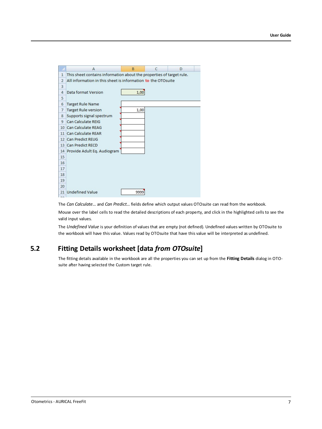

The *Can Calculate…* and *Can Predict…* fields define which output values OTOsuite can read from the workbook.

Mouse over the label cells to read the detailed descriptions of each property, and click in the highlighted cells to see the valid input values.

The *Undefined Value* is your definition of values that are empty (not defined). Undefined values written by OTOsuite to the workbook will have this value. Values read by OTOsuite that have this value will be interpreted as undefined.

### **5.2 Fitting Details worksheet [data** *from OTOsuite***]**

The fitting details available in the workbook are all the properties you can set up from the **Fitting Details** dialog in OTOsuite after having selected the Custom target rule.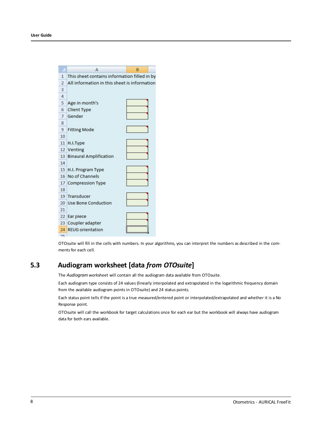

OTOsuite will fill in the cells with numbers. In your algorithms, you can interpret the numbers as described in the comments for each cell.

## **5.3 Audiogram worksheet [data** *from OTOsuite***]**

The *Audiogram* worksheet will contain all the audiogram data available from OTOsuite.

Each audiogram type consists of 24 values (linearly interpolated and extrapolated in the logarithmic frequency domain from the available audiogram points in OTOsuite) and 24 status points.

Each status point tells if the point is a true measured/entered point or interpolated/extrapolated and whether it is a No Response point.

OTOsuite will call the workbook for target calculations once for each ear but the workbook will always have audiogram data for both ears available.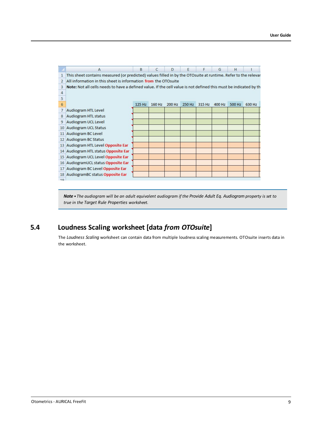|                 | А                                                                                                                | B      |        | D      | F      | F      | G      | н      |        |  |  |  |  |
|-----------------|------------------------------------------------------------------------------------------------------------------|--------|--------|--------|--------|--------|--------|--------|--------|--|--|--|--|
| 1               | This sheet contains measured (or predicted) values filled in by the OTOsuite at runtime. Refer to the relevar    |        |        |        |        |        |        |        |        |  |  |  |  |
| 2               | All information in this sheet is information from the OTOsuite                                                   |        |        |        |        |        |        |        |        |  |  |  |  |
| 3               | Note: Not all cells needs to have a defined value. If the cell value is not defined this must be indicated by th |        |        |        |        |        |        |        |        |  |  |  |  |
| $\overline{4}$  |                                                                                                                  |        |        |        |        |        |        |        |        |  |  |  |  |
| 5               |                                                                                                                  |        |        |        |        |        |        |        |        |  |  |  |  |
| 6               |                                                                                                                  | 125 Hz | 160 Hz | 200 Hz | 250 Hz | 315 Hz | 400 Hz | 500 Hz | 630 Hz |  |  |  |  |
| $\overline{7}$  | Audiogram HTL Level                                                                                              |        |        |        |        |        |        |        |        |  |  |  |  |
| 8               | Audiogram HTL status                                                                                             |        |        |        |        |        |        |        |        |  |  |  |  |
| 9               | <b>Audiogram UCL Level</b>                                                                                       |        |        |        |        |        |        |        |        |  |  |  |  |
| 10              | <b>Audiogram UCL Status</b>                                                                                      |        |        |        |        |        |        |        |        |  |  |  |  |
|                 | 11 Audiogram BC Level                                                                                            |        |        |        |        |        |        |        |        |  |  |  |  |
|                 | 12 Audiogram BC Status                                                                                           |        |        |        |        |        |        |        |        |  |  |  |  |
| 13              | Audiogram HTL Level Opposite Ear                                                                                 |        |        |        |        |        |        |        |        |  |  |  |  |
| 14              | Audiogram HTL status Opposite Ear                                                                                |        |        |        |        |        |        |        |        |  |  |  |  |
| 15              | Audiogram UCL Level Opposite Ear                                                                                 |        |        |        |        |        |        |        |        |  |  |  |  |
| 16              | AudiogramUCL status Opposite Ear                                                                                 |        |        |        |        |        |        |        |        |  |  |  |  |
|                 | 17 Audiogram BC Level Opposite Ear                                                                               |        |        |        |        |        |        |        |        |  |  |  |  |
|                 | 18 AudiogramBC status Opposite Ear                                                                               |        |        |        |        |        |        |        |        |  |  |  |  |
| 10 <sup>1</sup> |                                                                                                                  |        |        |        |        |        |        |        |        |  |  |  |  |

Note . The audiogram will be an adult equivalent audiogram if the Provide Adult Eq. Audiogram property is set to *true in the Target Rule Properties worksheet.*

## **5.4 Loudness Scaling worksheet [data** *from OTOsuite***]**

The *Loudness Scaling* worksheet can contain data from multiple loudness scaling measurements. OTOsuite inserts data in the worksheet.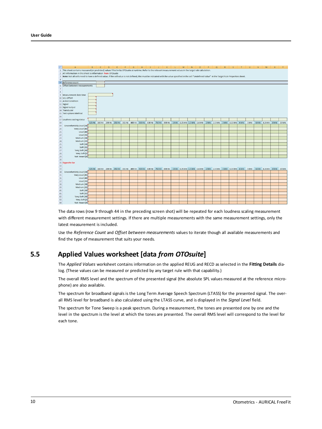

The data rows (row 9 through 44 in the preceding screen shot) will be repeated for each loudness scaling measurement with different measurement settings. If there are multiple measurements with the same measurement settings, only the latest measurement is included.

Use the *Reference Count* and *Offset between measurements* values to iterate though all available measurements and find the type of measurement that suits your needs.

### **5.5 Applied Values worksheet [data** *from OTOsuite***]**

The *Applied Values* worksheet contains information on the applied REUG and RECD as selected in the **Fitting Details** dialog. (These values can be measured or predicted by any target rule with that capability.)

The overall RMS level and the spectrum of the presented signal (the absolute SPL values measured at the reference microphone) are also available.

The spectrum for broadband signals is the Long Term Average Speech Spectrum (LTASS) for the presented signal. The overall RMS level for broadband is also calculated using the LTASS curve, and is displayed in the *Signal Level* field.

The spectrum for Tone Sweep is a peak spectrum. During a measurement, the tones are presented one by one and the level in the spectrum is the level at which the tones are presented. The overall RMS level will correspond to the level for each tone.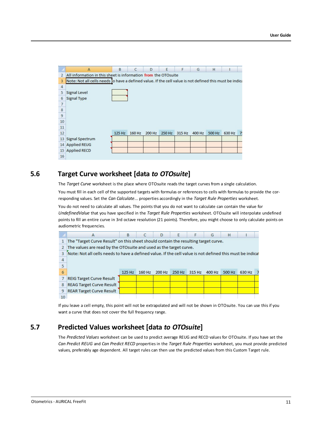

### **5.6 Target Curve worksheet [data** *to OTOsuite***]**

The *Target Curve* worksheet is the place where OTOsuite reads the target curves from a single calculation.

You must fill in each cell of the supported targets with formulas or references to cells with formulas to provide the corresponding values. Set the *Can Calculate*... properties accordingly in the *Target Rule Properties* worksheet.

You do not need to calculate all values. The points that you do not want to calculate can contain the value for *UndefinedValue* that you have specified in the *Target Rule Properties* worksheet. OTOsuite will interpolate undefined points to fill an entire curve in 3rd octave resolution (21 points). Therefore, you might choose to only calculate points on audiometric frequencies.

|    | A                                                                                                        | B      | C      | D      | E      |        | G      | н      |        |  |  |  |  |  |
|----|----------------------------------------------------------------------------------------------------------|--------|--------|--------|--------|--------|--------|--------|--------|--|--|--|--|--|
| 1  | The "Target Curve Result" on this sheet should contain the resulting target curve.                       |        |        |        |        |        |        |        |        |  |  |  |  |  |
| 2  | The values are read by the OTOsuite and used as the target curve.                                        |        |        |        |        |        |        |        |        |  |  |  |  |  |
| 3  | Note: Not all cells needs to have a defined value. If the cell value is not defined this must be indicat |        |        |        |        |        |        |        |        |  |  |  |  |  |
|    |                                                                                                          |        |        |        |        |        |        |        |        |  |  |  |  |  |
|    |                                                                                                          |        |        |        |        |        |        |        |        |  |  |  |  |  |
| 6  |                                                                                                          | 125 Hz | 160 Hz | 200 Hz | 250 Hz | 315 Hz | 400 Hz | 500 Hz | 630 Hz |  |  |  |  |  |
|    | <b>REIG Target Curve Result</b>                                                                          |        |        |        |        |        |        |        |        |  |  |  |  |  |
| 8  | <b>REAG Target Curve Result</b>                                                                          |        |        |        |        |        |        |        |        |  |  |  |  |  |
| 9  | <b>REAR Target Curve Result</b>                                                                          |        |        |        |        |        |        |        |        |  |  |  |  |  |
| 10 |                                                                                                          |        |        |        |        |        |        |        |        |  |  |  |  |  |

If you leave a cell empty, this point will not be extrapolated and will not be shown in OTOsuite. You can use this if you want a curve that does not cover the full frequency range.

### **5.7 Predicted Values worksheet [data** *to OTOsuite***]**

The *Predicted Values* worksheet can be used to predict average REUG and RECD values for OTOsuite. If you have set the *Can Predict REUG* and *Can Predict RECD* properties in the *Target Rule Properties* worksheet, you must provide predicted values, preferably age dependent. All target rules can then use the predicted values from this Custom Target rule.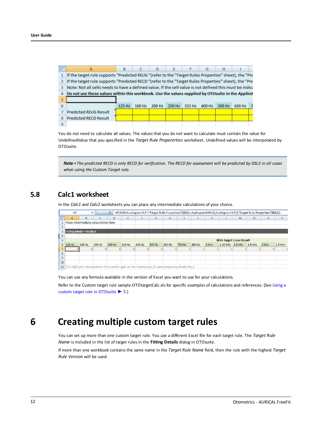|                | А                                                                                                       | B      |        | D      |        | F      | G      | н      |        |  |
|----------------|---------------------------------------------------------------------------------------------------------|--------|--------|--------|--------|--------|--------|--------|--------|--|
|                | If the target rule supports "Predicted REUG "(refer to the "Target Rules Properties" sheet), the "Pre   |        |        |        |        |        |        |        |        |  |
| $\overline{2}$ | If the target rule supports "Predicted RECD "(refer to the "Target Rules Properties" sheet), the "Pre   |        |        |        |        |        |        |        |        |  |
| 3              | Note: Not all cells needs to have a defined value. If the cell value is not defined this must be indica |        |        |        |        |        |        |        |        |  |
| 4              | Do not use these values within this workbook. Use the values supplied by OTOsuite in the Applied        |        |        |        |        |        |        |        |        |  |
| 5              |                                                                                                         |        |        |        |        |        |        |        |        |  |
| 6              |                                                                                                         | 125 Hz | 160 Hz | 200 Hz | 250 Hz | 315 Hz | 400 Hz | 500 Hz | 630 Hz |  |
|                | <b>Predicted REUG Result</b>                                                                            |        |        |        |        |        |        |        |        |  |
| 8              | <b>Predicted RECD Result</b>                                                                            |        |        |        |        |        |        |        |        |  |
|                |                                                                                                         |        |        |        |        |        |        |        |        |  |

You do not need to calculate all values. The values that you do not want to calculate must contain the value for UndefinedValue that you specified in the *Target Rule Propererties* worksheet. Undefined values will be interpolated by OTOsuite.

Note . The predicted RECD is only RECD for verification. The RECD for assessment will be predicted by DSL5 in all cases *when using the Custom Target rule.*

### **5.8 Calc1 worksheet**

In the *Calc1* and *Calc2* worksheets you can place any intermediate calculations of your choice.

|              | A7                            |        | $\overline{\phantom{a}}$             | $f_x$  |        |        |        |                                                                                                        |        |        |         | =IF(AND(Audiogram!A7<>'Target Rule Properties'!\$B\$21; Audiogram!A9<2);Audiogram!A7/2;'Target Rule Properties'!\$B\$21) |   |           |         |           |
|--------------|-------------------------------|--------|--------------------------------------|--------|--------|--------|--------|--------------------------------------------------------------------------------------------------------|--------|--------|---------|--------------------------------------------------------------------------------------------------------------------------|---|-----------|---------|-----------|
|              | $\mathsf{A}$                  | B      |                                      | D      | E      |        | G      | H                                                                                                      |        |        | К       |                                                                                                                          | M | N         | $\circ$ | P         |
|              |                               |        | Place intermediate calculations here |        |        |        |        |                                                                                                        |        |        |         |                                                                                                                          |   |           |         |           |
|              |                               |        |                                      |        |        |        |        |                                                                                                        |        |        |         |                                                                                                                          |   |           |         |           |
| 3            | <b>Fitting Mode = RealEar</b> |        |                                      |        |        |        |        |                                                                                                        |        |        |         |                                                                                                                          |   |           |         |           |
| 4            |                               |        |                                      |        |        |        |        |                                                                                                        |        |        |         |                                                                                                                          |   |           |         |           |
| 5            |                               |        |                                      |        |        |        |        |                                                                                                        |        |        |         | <b>REIG Target Curve Result</b>                                                                                          |   |           |         |           |
|              | 6 125 Hz                      | 160 Hz | 200 Hz                               | 250 Hz | 315 Hz | 400 Hz | 500 Hz | 630 Hz                                                                                                 | 750 Hz | 800 Hz | $1$ kHz | 1.25 kHz 1.5 kHz                                                                                                         |   | $1.6$ kHz | $2$ kHz | $2.5$ kHz |
|              |                               |        |                                      |        |        |        |        |                                                                                                        |        |        |         |                                                                                                                          |   |           |         |           |
| $\mathbf{g}$ |                               |        |                                      |        |        |        |        |                                                                                                        |        |        |         |                                                                                                                          |   |           |         |           |
| 9            |                               |        |                                      |        |        |        |        |                                                                                                        |        |        |         |                                                                                                                          |   |           |         |           |
| 10           |                               |        |                                      |        |        |        |        |                                                                                                        |        |        |         |                                                                                                                          |   |           |         |           |
| 11           |                               |        |                                      |        |        |        |        | This half gain rule calculates the insertion gain as the hearing loss for each frequency divided by 2. |        |        |         |                                                                                                                          |   |           |         |           |

You can use any formula available in the version of Excel you want to use for your calculations.

<span id="page-11-0"></span>Refer to the Custom target rule sample.OTOtargetCalc.xls for specific examples of calculations and references. (See [Using](#page-4-0) a custom target rule in [OTOsuite](#page-4-0) ► 5.)

# **6 Creating multiple custom target rules**

You can set up more than one custom target rule. You use a different Excel file for each target rule. The *Target Rule Name* is included in the list of target rules in the **Fitting Details** dialog in OTOsuite.

If more than one workbook contains the same name in the *Target Rule Name* field, then the rule with the highest *Target Rule Version* will be used.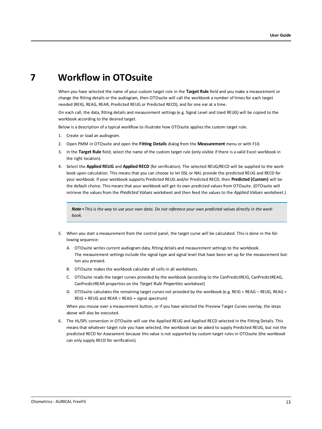# **7 Workflow in OTOsuite**

<span id="page-12-0"></span>When you have selected the name of your custom target rule in the **Target Rule** field and you make a measurement or change the fitting details or the audiogram, then OTOsuite will call the workbook a number of times for each target needed (REIG, REAG, REAR, Predicted REUG or Predicted RECD), and for one ear at a time.

On each call, the data, fitting details and measurement settings (e.g. Signal Level and Used REUG) will be copied to the workbook according to the desired target.

Below is a description of a typical workflow to illustrate how OTOsuite applies the custom target rule.

- 1. Create or load an audiogram.
- 2. Open PMM in OTOsuite and open the **Fitting Details** dialog from the **Measurement** menu or with F10.
- 3. In the **Target Rule** field, select the name of the custom target rule (only visible if there is a valid Excel workbook in the right location).
- 4. Select the **Applied REUG** and **Applied RECD** (for verification). The selected REUG/RECD will be supplied to the workbook upon calculation. This means that you can choose to let DSL or NAL provide the predicted REUG and RECD for your workbook. If your workbook supports Predicted REUG and/or Predicted RECD, then **Predicted (Custom)** will be the default choice. This means that your workbook will get its own predicted values from OTOsuite. (OTOsuite will retrieve the values from the *Predicted Values* worksheet and then feed the values to the *Applied Values* worksheet.)

Note . This is the way to use your own data. Do not reference your own predicted values directly in the work*book.*

- 5. When you start a measurement from the control panel, the target curve will be calculated. This is done in the following sequence:
	- A. OTOsuite writes current audiogram data, fitting details and measurement settings to the workbook. The measurement settings include the signal type and signal level that have been set up for the measurement button you pressed.
	- B. OTOsuite makes the workbook calculate all cells in all worksheets.
	- C. OTOsuite reads the target curves provided by the workbook (according to the CanPredictREIG, CanPredictREAG, CanPredictREAR properties on the *Target Rule Properties* worksheet)
	- D. OTOsuite calculates the remaining target curves not provided by the workbook (e.g. REIG = REAG REUG, REAG = REIG + REUG and REAR = REAG + signal spectrum)

When you mouse over a measurement button, or if you have selected the Preview Target Curves overlay, the steps above will also be executed.

6. The HL/SPL conversion in OTOsuite will use the Applied REUG and Applied RECD selected in the Fitting Details. This means that whatever target rule you have selected, the workbook can be asked to supply Predicted REUG, but not the predicted RECD for Assessment because this value is not supported by custom target rules in OTOsuite (the workbook can only supply RECD for verification).